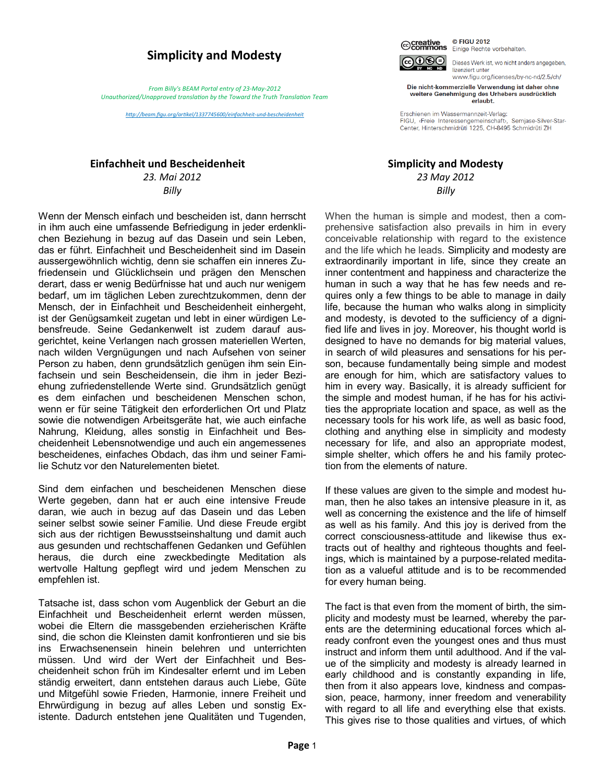## **Simplicity and Modesty**

*From Billy's BEAM Portal entry of 23-May-2012 Unauthorized/Unapproved translation by the Toward the Truth Translation Team*

*[http://beam.figu.org/artikel/1337745600/einfachheit](http://beam.figu.org/artikel/1337745600/einfachheit-und-bescheidenheit)-und-bescheidenheit*

## **Einfachheit und Bescheidenheit**

*23. Mai 2012 Billy*

Wenn der Mensch einfach und bescheiden ist, dann herrscht in ihm auch eine umfassende Befriedigung in jeder erdenklichen Beziehung in bezug auf das Dasein und sein Leben, das er führt. Einfachheit und Bescheidenheit sind im Dasein aussergewöhnlich wichtig, denn sie schaffen ein inneres Zufriedensein und Glücklichsein und prägen den Menschen derart, dass er wenig Bedürfnisse hat und auch nur wenigem bedarf, um im täglichen Leben zurechtzukommen, denn der Mensch, der in Einfachheit und Bescheidenheit einhergeht, ist der Genügsamkeit zugetan und lebt in einer würdigen Lebensfreude. Seine Gedankenwelt ist zudem darauf ausgerichtet, keine Verlangen nach grossen materiellen Werten, nach wilden Vergnügungen und nach Aufsehen von seiner Person zu haben, denn grundsätzlich genügen ihm sein Einfachsein und sein Bescheidensein, die ihm in jeder Beziehung zufriedenstellende Werte sind. Grundsätzlich genügt es dem einfachen und bescheidenen Menschen schon, wenn er für seine Tätigkeit den erforderlichen Ort und Platz sowie die notwendigen Arbeitsgeräte hat, wie auch einfache Nahrung, Kleidung, alles sonstig in Einfachheit und Bescheidenheit Lebensnotwendige und auch ein angemessenes bescheidenes, einfaches Obdach, das ihm und seiner Familie Schutz vor den Naturelementen bietet.

Sind dem einfachen und bescheidenen Menschen diese Werte gegeben, dann hat er auch eine intensive Freude daran, wie auch in bezug auf das Dasein und das Leben seiner selbst sowie seiner Familie. Und diese Freude ergibt sich aus der richtigen Bewusstseinshaltung und damit auch aus gesunden und rechtschaffenen Gedanken und Gefühlen heraus, die durch eine zweckbedingte Meditation als wertvolle Haltung gepflegt wird und jedem Menschen zu empfehlen ist.

Tatsache ist, dass schon vom Augenblick der Geburt an die Einfachheit und Bescheidenheit erlernt werden müssen, wobei die Eltern die massgebenden erzieherischen Kräfte sind, die schon die Kleinsten damit konfrontieren und sie bis ins Erwachsenensein hinein belehren und unterrichten müssen. Und wird der Wert der Einfachheit und Bescheidenheit schon früh im Kindesalter erlernt und im Leben ständig erweitert, dann entstehen daraus auch Liebe, Güte und Mitgefühl sowie Frieden, Harmonie, innere Freiheit und Ehrwürdigung in bezug auf alles Leben und sonstig Existente. Dadurch entstehen jene Qualitäten und Tugenden,



Dieses Werk ist, wo nicht anders angegeben, lizenziert unter www.figu.org/licenses/by-nc-nd/2.5/ch/

Die nicht-kommerzielle Verwendung ist daher ohne weitere Genehmigung des Urhebers ausdrücklich erlaubt.

Erschienen im Wassermannzeit-Verlag: FIGU, «Freie Interessengemeinschaft», Semjase-Silver-Star-Center, Hinterschmidrüti 1225, CH-8495 Schmidrüti ZH

## **Simplicity and Modesty**

*23 May 2012 Billy*

When the human is simple and modest, then a comprehensive satisfaction also prevails in him in every conceivable relationship with regard to the existence and the life which he leads. Simplicity and modesty are extraordinarily important in life, since they create an inner contentment and happiness and characterize the human in such a way that he has few needs and requires only a few things to be able to manage in daily life, because the human who walks along in simplicity and modesty, is devoted to the sufficiency of a dignified life and lives in joy. Moreover, his thought world is designed to have no demands for big material values, in search of wild pleasures and sensations for his person, because fundamentally being simple and modest are enough for him, which are satisfactory values to him in every way. Basically, it is already sufficient for the simple and modest human, if he has for his activities the appropriate location and space, as well as the necessary tools for his work life, as well as basic food, clothing and anything else in simplicity and modesty necessary for life, and also an appropriate modest, simple shelter, which offers he and his family protection from the elements of nature.

If these values are given to the simple and modest human, then he also takes an intensive pleasure in it, as well as concerning the existence and the life of himself as well as his family. And this joy is derived from the correct consciousness-attitude and likewise thus extracts out of healthy and righteous thoughts and feelings, which is maintained by a purpose-related meditation as a valueful attitude and is to be recommended for every human being.

The fact is that even from the moment of birth, the simplicity and modesty must be learned, whereby the parents are the determining educational forces which already confront even the youngest ones and thus must instruct and inform them until adulthood. And if the value of the simplicity and modesty is already learned in early childhood and is constantly expanding in life, then from it also appears love, kindness and compassion, peace, harmony, inner freedom and venerability with regard to all life and everything else that exists. This gives rise to those qualities and virtues, of which